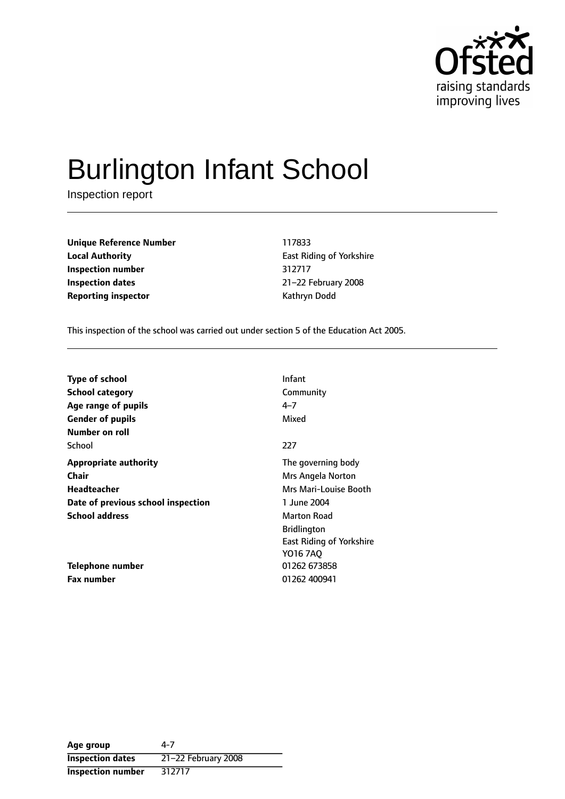

# Burlington Infant School

Inspection report

**Unique Reference Number** 117833 **Local Authority East Riding of Yorkshire Inspection number** 312717 **Inspection dates** 21-22 February 2008 **Reporting inspector CONFIDENTIAL REPORTING MANUS** Kathryn Dodd

This inspection of the school was carried out under section 5 of the Education Act 2005.

| <b>Type of school</b>              | <b>Infant</b>                   |
|------------------------------------|---------------------------------|
| <b>School category</b>             | Community                       |
| Age range of pupils                | $4 - 7$                         |
| <b>Gender of pupils</b>            | Mixed                           |
| Number on roll                     |                                 |
| School                             | 227                             |
| <b>Appropriate authority</b>       | The governing body              |
| <b>Chair</b>                       | Mrs Angela Norton               |
| Headteacher                        | Mrs Mari-Louise Booth           |
| Date of previous school inspection | 1 June 2004                     |
| <b>School address</b>              | <b>Marton Road</b>              |
|                                    | <b>Bridlington</b>              |
|                                    | <b>East Riding of Yorkshire</b> |
|                                    | Y016 7AO                        |
| <b>Telephone number</b>            | 01262 673858                    |
| <b>Fax number</b>                  | 01262 400941                    |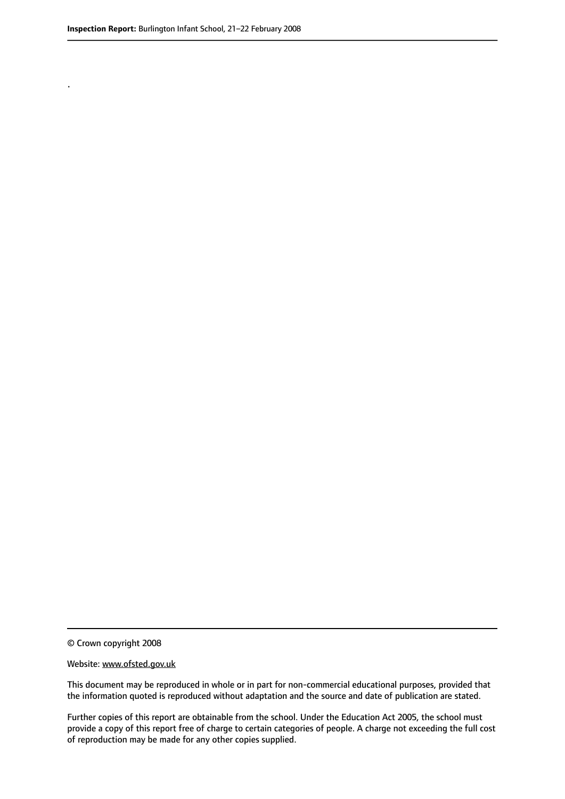.

© Crown copyright 2008

#### Website: www.ofsted.gov.uk

This document may be reproduced in whole or in part for non-commercial educational purposes, provided that the information quoted is reproduced without adaptation and the source and date of publication are stated.

Further copies of this report are obtainable from the school. Under the Education Act 2005, the school must provide a copy of this report free of charge to certain categories of people. A charge not exceeding the full cost of reproduction may be made for any other copies supplied.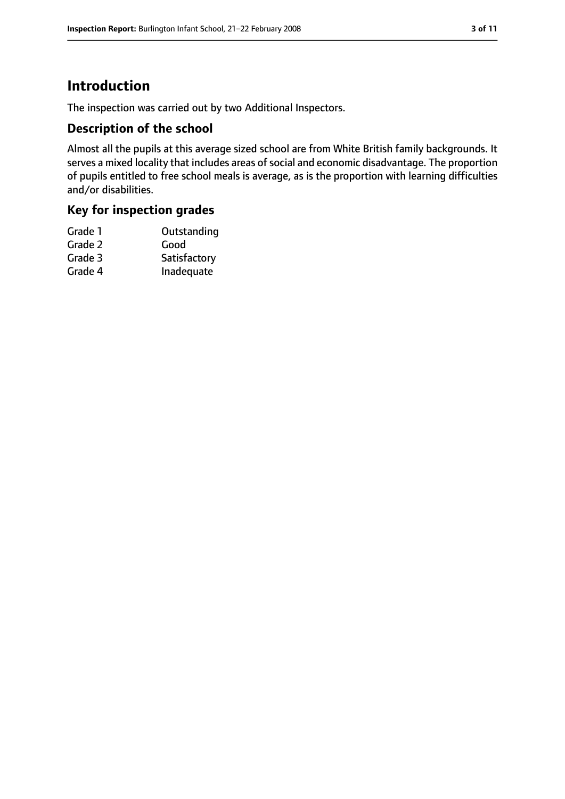## **Introduction**

The inspection was carried out by two Additional Inspectors.

#### **Description of the school**

Almost all the pupils at this average sized school are from White British family backgrounds. It serves a mixed locality that includes areas of social and economic disadvantage. The proportion of pupils entitled to free school meals is average, as is the proportion with learning difficulties and/or disabilities.

### **Key for inspection grades**

| Grade 1 | Outstanding  |
|---------|--------------|
| Grade 2 | Good         |
| Grade 3 | Satisfactory |
| Grade 4 | Inadequate   |
|         |              |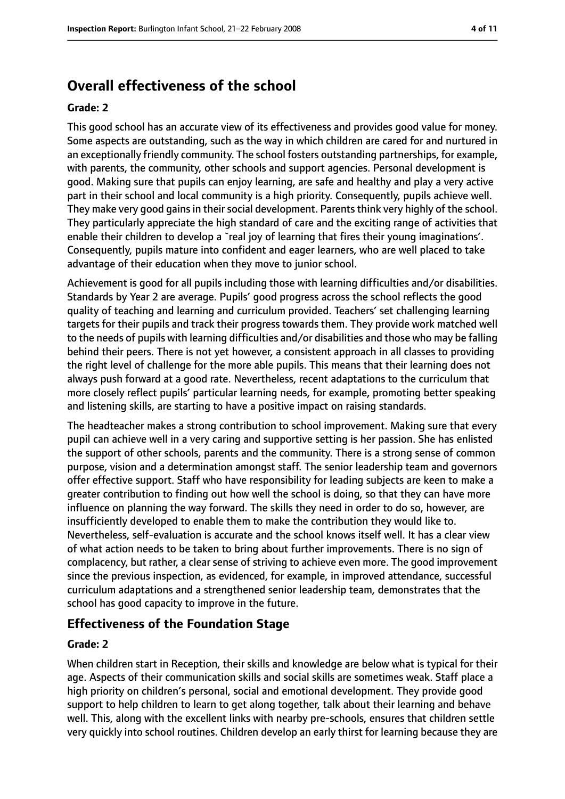## **Overall effectiveness of the school**

#### **Grade: 2**

This good school has an accurate view of its effectiveness and provides good value for money. Some aspects are outstanding, such as the way in which children are cared for and nurtured in an exceptionally friendly community. The school fosters outstanding partnerships, for example, with parents, the community, other schools and support agencies. Personal development is good. Making sure that pupils can enjoy learning, are safe and healthy and play a very active part in their school and local community is a high priority. Consequently, pupils achieve well. They make very good gains in their social development. Parents think very highly of the school. They particularly appreciate the high standard of care and the exciting range of activities that enable their children to develop a `real joy of learning that fires their young imaginations'. Consequently, pupils mature into confident and eager learners, who are well placed to take advantage of their education when they move to junior school.

Achievement is good for all pupils including those with learning difficulties and/or disabilities. Standards by Year 2 are average. Pupils' good progress across the school reflects the good quality of teaching and learning and curriculum provided. Teachers' set challenging learning targets for their pupils and track their progress towards them. They provide work matched well to the needs of pupils with learning difficulties and/or disabilities and those who may be falling behind their peers. There is not yet however, a consistent approach in all classes to providing the right level of challenge for the more able pupils. This means that their learning does not always push forward at a good rate. Nevertheless, recent adaptations to the curriculum that more closely reflect pupils' particular learning needs, for example, promoting better speaking and listening skills, are starting to have a positive impact on raising standards.

The headteacher makes a strong contribution to school improvement. Making sure that every pupil can achieve well in a very caring and supportive setting is her passion. She has enlisted the support of other schools, parents and the community. There is a strong sense of common purpose, vision and a determination amongst staff. The senior leadership team and governors offer effective support. Staff who have responsibility for leading subjects are keen to make a greater contribution to finding out how well the school is doing, so that they can have more influence on planning the way forward. The skills they need in order to do so, however, are insufficiently developed to enable them to make the contribution they would like to. Nevertheless, self-evaluation is accurate and the school knows itself well. It has a clear view of what action needs to be taken to bring about further improvements. There is no sign of complacency, but rather, a clear sense of striving to achieve even more. The good improvement since the previous inspection, as evidenced, for example, in improved attendance, successful curriculum adaptations and a strengthened senior leadership team, demonstrates that the school has good capacity to improve in the future.

#### **Effectiveness of the Foundation Stage**

#### **Grade: 2**

When children start in Reception, their skills and knowledge are below what is typical for their age. Aspects of their communication skills and social skills are sometimes weak. Staff place a high priority on children's personal, social and emotional development. They provide good support to help children to learn to get along together, talk about their learning and behave well. This, along with the excellent links with nearby pre-schools, ensures that children settle very quickly into school routines. Children develop an early thirst for learning because they are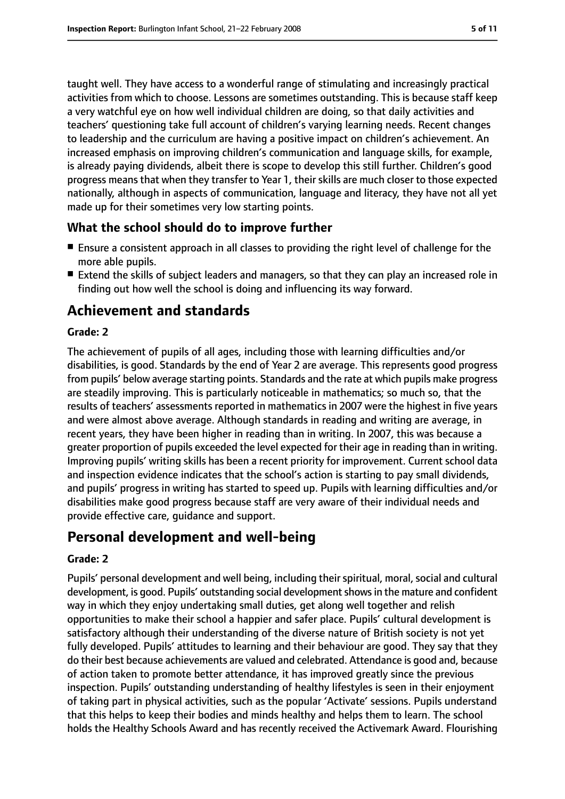taught well. They have access to a wonderful range of stimulating and increasingly practical activities from which to choose. Lessons are sometimes outstanding. This is because staff keep a very watchful eye on how well individual children are doing, so that daily activities and teachers' questioning take full account of children's varying learning needs. Recent changes to leadership and the curriculum are having a positive impact on children's achievement. An increased emphasis on improving children's communication and language skills, for example, is already paying dividends, albeit there is scope to develop this still further. Children's good progress means that when they transfer to Year 1, their skills are much closer to those expected nationally, although in aspects of communication, language and literacy, they have not all yet made up for their sometimes very low starting points.

#### **What the school should do to improve further**

- Ensure a consistent approach in all classes to providing the right level of challenge for the more able pupils.
- Extend the skills of subiect leaders and managers, so that they can play an increased role in finding out how well the school is doing and influencing its way forward.

## **Achievement and standards**

#### **Grade: 2**

The achievement of pupils of all ages, including those with learning difficulties and/or disabilities, is good. Standards by the end of Year 2 are average. This represents good progress from pupils' below average starting points. Standards and the rate at which pupils make progress are steadily improving. This is particularly noticeable in mathematics; so much so, that the results of teachers' assessments reported in mathematics in 2007 were the highest in five years and were almost above average. Although standards in reading and writing are average, in recent years, they have been higher in reading than in writing. In 2007, this was because a greater proportion of pupils exceeded the level expected for their age in reading than in writing. Improving pupils' writing skills has been a recent priority for improvement. Current school data and inspection evidence indicates that the school's action is starting to pay small dividends, and pupils' progress in writing has started to speed up. Pupils with learning difficulties and/or disabilities make good progress because staff are very aware of their individual needs and provide effective care, guidance and support.

## **Personal development and well-being**

#### **Grade: 2**

Pupils' personal development and well being, including their spiritual, moral, social and cultural development, is good. Pupils' outstanding social development shows in the mature and confident way in which they enjoy undertaking small duties, get along well together and relish opportunities to make their school a happier and safer place. Pupils' cultural development is satisfactory although their understanding of the diverse nature of British society is not yet fully developed. Pupils' attitudes to learning and their behaviour are good. They say that they do their best because achievements are valued and celebrated. Attendance is good and, because of action taken to promote better attendance, it has improved greatly since the previous inspection. Pupils' outstanding understanding of healthy lifestyles is seen in their enjoyment of taking part in physical activities, such as the popular 'Activate' sessions. Pupils understand that this helps to keep their bodies and minds healthy and helps them to learn. The school holds the Healthy Schools Award and has recently received the Activemark Award. Flourishing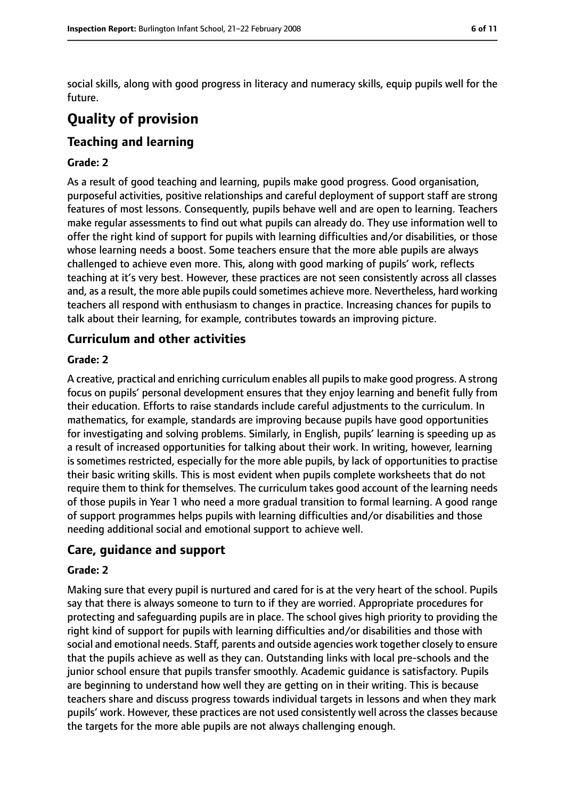social skills, along with good progress in literacy and numeracy skills, equip pupils well for the future.

# **Quality of provision**

## **Teaching and learning**

#### **Grade: 2**

As a result of good teaching and learning, pupils make good progress. Good organisation, purposeful activities, positive relationships and careful deployment of support staff are strong features of most lessons. Consequently, pupils behave well and are open to learning. Teachers make regular assessments to find out what pupils can already do. They use information well to offer the right kind of support for pupils with learning difficulties and/or disabilities, or those whose learning needs a boost. Some teachers ensure that the more able pupils are always challenged to achieve even more. This, along with good marking of pupils' work, reflects teaching at it's very best. However, these practices are not seen consistently across all classes and, as a result, the more able pupils could sometimes achieve more. Nevertheless, hard working teachers all respond with enthusiasm to changes in practice. Increasing chances for pupils to talk about their learning, for example, contributes towards an improving picture.

#### **Curriculum and other activities**

#### **Grade: 2**

A creative, practical and enriching curriculum enables all pupilsto make good progress. A strong focus on pupils' personal development ensures that they enjoy learning and benefit fully from their education. Efforts to raise standards include careful adjustments to the curriculum. In mathematics, for example, standards are improving because pupils have good opportunities for investigating and solving problems. Similarly, in English, pupils' learning is speeding up as a result of increased opportunities for talking about their work. In writing, however, learning is sometimes restricted, especially for the more able pupils, by lack of opportunities to practise their basic writing skills. This is most evident when pupils complete worksheets that do not require them to think for themselves. The curriculum takes good account of the learning needs of those pupils in Year 1 who need a more gradual transition to formal learning. A good range of support programmes helps pupils with learning difficulties and/or disabilities and those needing additional social and emotional support to achieve well.

#### **Care, guidance and support**

#### **Grade: 2**

Making sure that every pupil is nurtured and cared for is at the very heart of the school. Pupils say that there is always someone to turn to if they are worried. Appropriate procedures for protecting and safeguarding pupils are in place. The school gives high priority to providing the right kind of support for pupils with learning difficulties and/or disabilities and those with social and emotional needs. Staff, parents and outside agencies work together closely to ensure that the pupils achieve as well as they can. Outstanding links with local pre-schools and the junior school ensure that pupils transfer smoothly. Academic guidance is satisfactory. Pupils are beginning to understand how well they are getting on in their writing. This is because teachers share and discuss progress towards individual targets in lessons and when they mark pupils' work. However, these practices are not used consistently well across the classes because the targets for the more able pupils are not always challenging enough.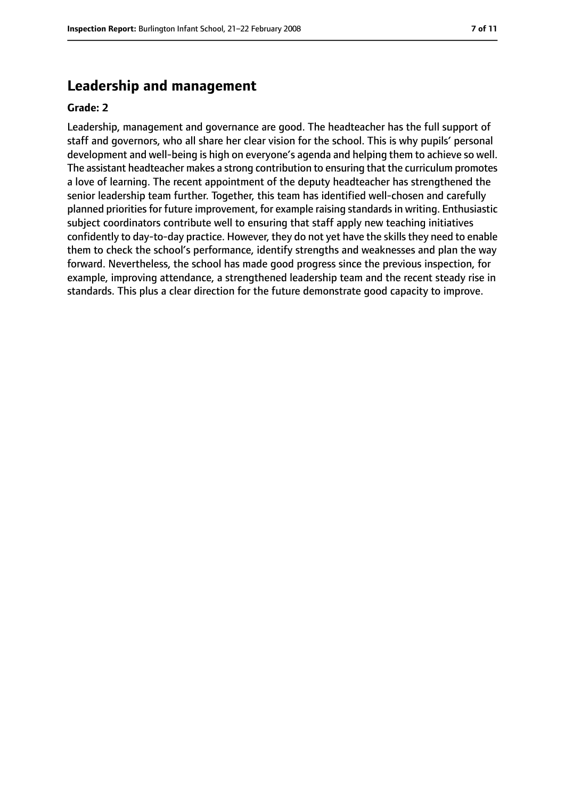### **Leadership and management**

#### **Grade: 2**

Leadership, management and governance are good. The headteacher has the full support of staff and governors, who all share her clear vision for the school. This is why pupils' personal development and well-being is high on everyone's agenda and helping them to achieve so well. The assistant headteacher makes a strong contribution to ensuring that the curriculum promotes a love of learning. The recent appointment of the deputy headteacher has strengthened the senior leadership team further. Together, this team has identified well-chosen and carefully planned priorities for future improvement, for example raising standards in writing. Enthusiastic subject coordinators contribute well to ensuring that staff apply new teaching initiatives confidently to day-to-day practice. However, they do not yet have the skills they need to enable them to check the school's performance, identify strengths and weaknesses and plan the way forward. Nevertheless, the school has made good progress since the previous inspection, for example, improving attendance, a strengthened leadership team and the recent steady rise in standards. This plus a clear direction for the future demonstrate good capacity to improve.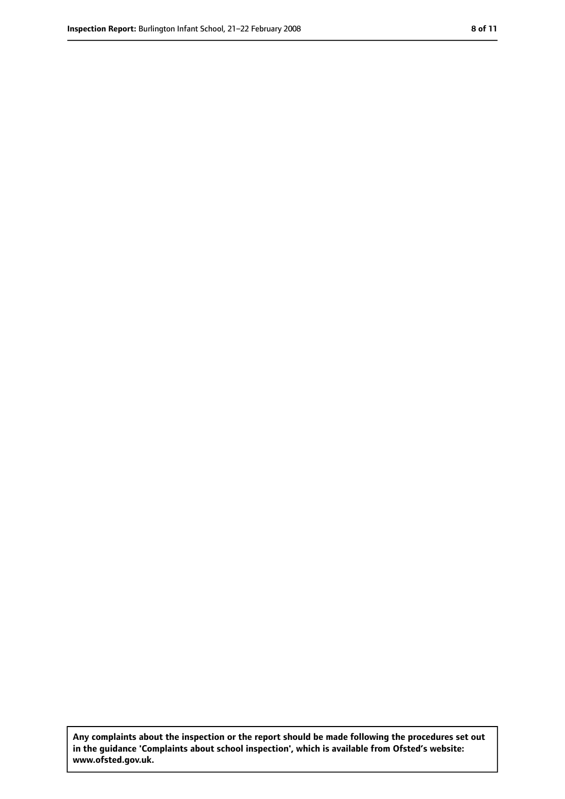**Any complaints about the inspection or the report should be made following the procedures set out in the guidance 'Complaints about school inspection', which is available from Ofsted's website: www.ofsted.gov.uk.**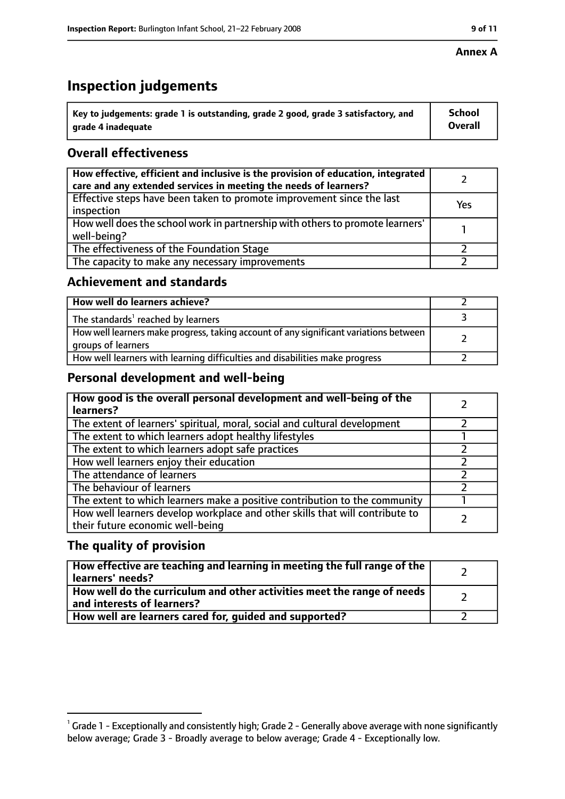#### **Annex A**

# **Inspection judgements**

| $^{\backprime}$ Key to judgements: grade 1 is outstanding, grade 2 good, grade 3 satisfactory, and | <b>School</b>  |
|----------------------------------------------------------------------------------------------------|----------------|
| arade 4 inadequate                                                                                 | <b>Overall</b> |

## **Overall effectiveness**

| How effective, efficient and inclusive is the provision of education, integrated<br>care and any extended services in meeting the needs of learners? |     |
|------------------------------------------------------------------------------------------------------------------------------------------------------|-----|
| Effective steps have been taken to promote improvement since the last<br>inspection                                                                  | Yes |
| How well does the school work in partnership with others to promote learners'<br>well-being?                                                         |     |
| The effectiveness of the Foundation Stage                                                                                                            |     |
| The capacity to make any necessary improvements                                                                                                      |     |

#### **Achievement and standards**

| How well do learners achieve?                                                                               |  |
|-------------------------------------------------------------------------------------------------------------|--|
| The standards <sup>1</sup> reached by learners                                                              |  |
| How well learners make progress, taking account of any significant variations between<br>groups of learners |  |
| How well learners with learning difficulties and disabilities make progress                                 |  |

#### **Personal development and well-being**

| How good is the overall personal development and well-being of the<br>learners?                                  |  |
|------------------------------------------------------------------------------------------------------------------|--|
| The extent of learners' spiritual, moral, social and cultural development                                        |  |
| The extent to which learners adopt healthy lifestyles                                                            |  |
| The extent to which learners adopt safe practices                                                                |  |
| How well learners enjoy their education                                                                          |  |
| The attendance of learners                                                                                       |  |
| The behaviour of learners                                                                                        |  |
| The extent to which learners make a positive contribution to the community                                       |  |
| How well learners develop workplace and other skills that will contribute to<br>their future economic well-being |  |

#### **The quality of provision**

| How effective are teaching and learning in meeting the full range of the<br>learners' needs?          |  |
|-------------------------------------------------------------------------------------------------------|--|
| How well do the curriculum and other activities meet the range of needs<br>and interests of learners? |  |
| How well are learners cared for, guided and supported?                                                |  |

 $^1$  Grade 1 - Exceptionally and consistently high; Grade 2 - Generally above average with none significantly below average; Grade 3 - Broadly average to below average; Grade 4 - Exceptionally low.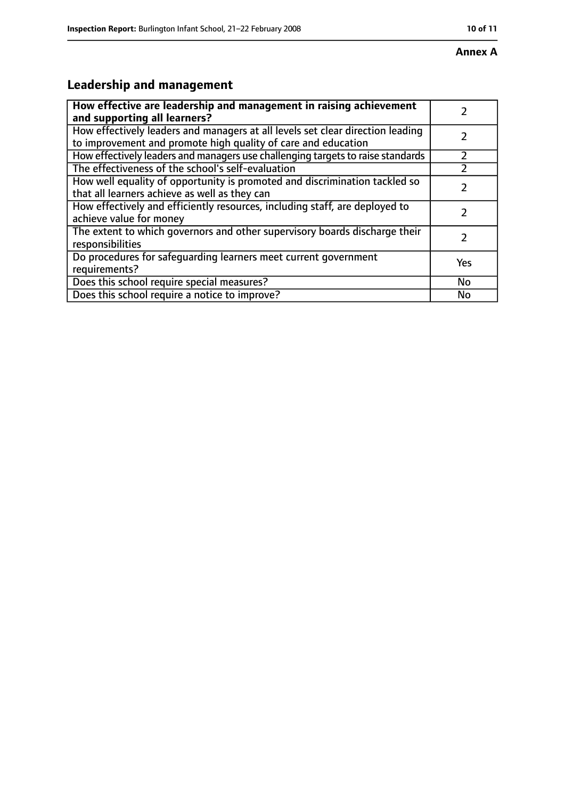# **Leadership and management**

| How effective are leadership and management in raising achievement<br>and supporting all learners?                                              |           |
|-------------------------------------------------------------------------------------------------------------------------------------------------|-----------|
| How effectively leaders and managers at all levels set clear direction leading<br>to improvement and promote high quality of care and education |           |
| How effectively leaders and managers use challenging targets to raise standards                                                                 |           |
| The effectiveness of the school's self-evaluation                                                                                               |           |
| How well equality of opportunity is promoted and discrimination tackled so<br>that all learners achieve as well as they can                     |           |
| How effectively and efficiently resources, including staff, are deployed to<br>achieve value for money                                          |           |
| The extent to which governors and other supervisory boards discharge their<br>responsibilities                                                  |           |
| Do procedures for safequarding learners meet current government<br>requirements?                                                                | Yes       |
| Does this school require special measures?                                                                                                      | <b>No</b> |
| Does this school require a notice to improve?                                                                                                   | No        |